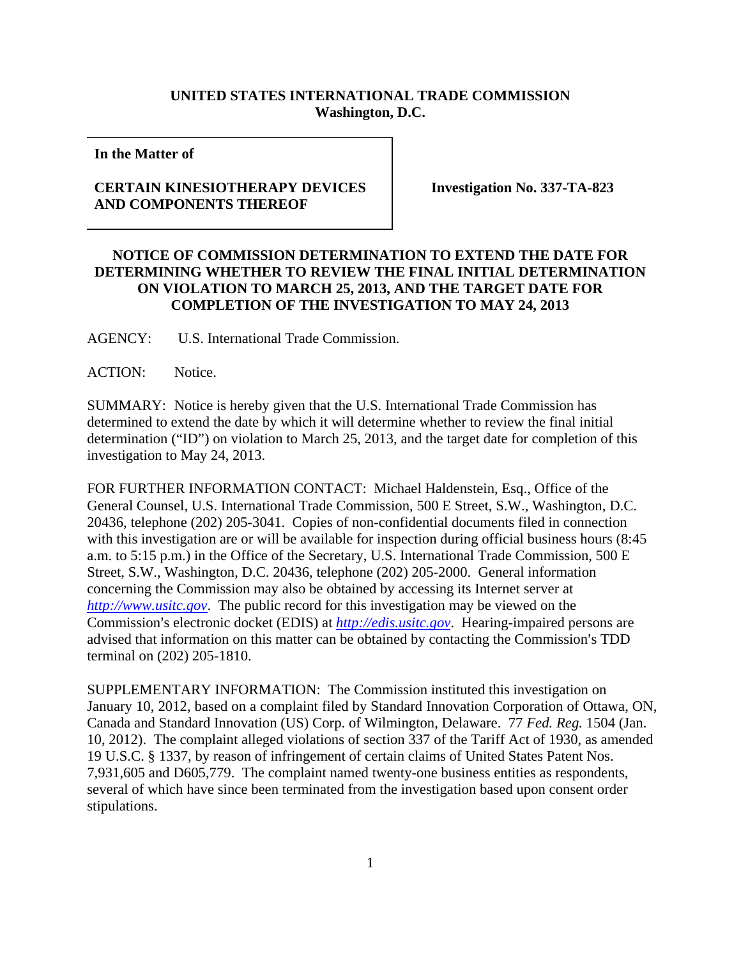## **UNITED STATES INTERNATIONAL TRADE COMMISSION Washington, D.C.**

**In the Matter of** 

## **CERTAIN KINESIOTHERAPY DEVICES AND COMPONENTS THEREOF**

**Investigation No. 337-TA-823** 

## **NOTICE OF COMMISSION DETERMINATION TO EXTEND THE DATE FOR DETERMINING WHETHER TO REVIEW THE FINAL INITIAL DETERMINATION ON VIOLATION TO MARCH 25, 2013, AND THE TARGET DATE FOR COMPLETION OF THE INVESTIGATION TO MAY 24, 2013**

AGENCY: U.S. International Trade Commission.

ACTION: Notice.

SUMMARY: Notice is hereby given that the U.S. International Trade Commission has determined to extend the date by which it will determine whether to review the final initial determination ("ID") on violation to March 25, 2013, and the target date for completion of this investigation to May 24, 2013.

FOR FURTHER INFORMATION CONTACT: Michael Haldenstein, Esq., Office of the General Counsel, U.S. International Trade Commission, 500 E Street, S.W., Washington, D.C. 20436, telephone (202) 205-3041. Copies of non-confidential documents filed in connection with this investigation are or will be available for inspection during official business hours (8:45 a.m. to 5:15 p.m.) in the Office of the Secretary, U.S. International Trade Commission, 500 E Street, S.W., Washington, D.C. 20436, telephone (202) 205-2000. General information concerning the Commission may also be obtained by accessing its Internet server at *http://www.usitc.gov*. The public record for this investigation may be viewed on the Commission's electronic docket (EDIS) at *http://edis.usitc.gov*. Hearing-impaired persons are advised that information on this matter can be obtained by contacting the Commission's TDD terminal on (202) 205-1810.

SUPPLEMENTARY INFORMATION: The Commission instituted this investigation on January 10, 2012, based on a complaint filed by Standard Innovation Corporation of Ottawa, ON, Canada and Standard Innovation (US) Corp. of Wilmington, Delaware. 77 *Fed. Reg.* 1504 (Jan. 10, 2012). The complaint alleged violations of section 337 of the Tariff Act of 1930, as amended 19 U.S.C. § 1337, by reason of infringement of certain claims of United States Patent Nos. 7,931,605 and D605,779. The complaint named twenty-one business entities as respondents, several of which have since been terminated from the investigation based upon consent order stipulations.